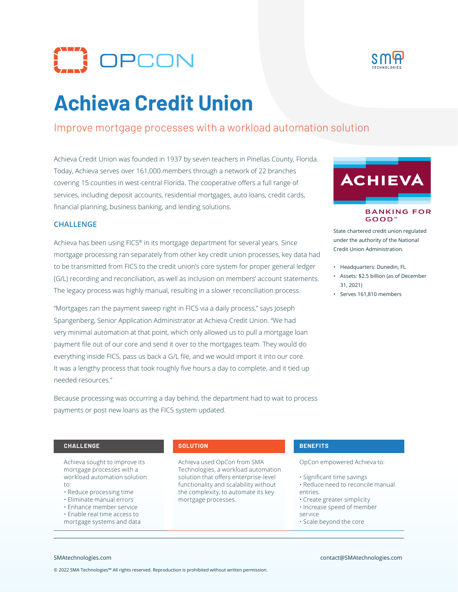



# **Achieva Credit Union**

# Improve mortgage processes with a workload automation solution

Achieva Credit Union was founded in 1937 by seven teachers in Pinellas County, Florida. Today, Achieva serves over 161,000 members through a network of 22 branches covering 15 counties in west-central Florida. The cooperative offers a full range of services, including deposit accounts, residential mortgages, auto loans, credit cards, financial planning, business banking, and lending solutions.



Achieva has been using FICS® in its mortgage department for several years. Since mortgage processing ran separately from other key credit union processes, key data had to be transmitted from FICS to the credit union's core system for proper general ledger (G/L) recording and reconciliation, as well as inclusion on members' account statements. The legacy process was highly manual, resulting in a slower reconciliation process.

"Mortgages ran the payment sweep right in FICS via a daily process," says Joseph Spangenberg, Senior Application Administrator at Achieva Credit Union. "We had very minimal automation at that point, which only allowed us to pull a mortgage loan payment file out of our core and send it over to the mortgages team. They would do everything inside FICS, pass us back a G/L file, and we would import it into our core. It was a lengthy process that took roughly five hours a day to complete, and it tied up needed resources."

Because processing was occurring a day behind, the department had to wait to process



### **BANKING FOR GOOD™**

State chartered credit union regulated under the authority of the National Credit Union Administration.

- Headquarters: Dunedin, FL
- Assets: \$2.5 billion (as of December 31, 2021)
- Serves 161,810 members

### **CHALLENGE SOLUTION BENEFITS**

Achieva sought to improve its mortgage processes with a workload automation solution to:

payments or post new loans as the FICS system updated.

- Reduce processing time
- Eliminate manual errors
- Enhance member service
- Enable real time access to mortgage systems and data

Achieva used OpCon from SMA Technologies, a workload automation solution that offers enterprise-level functionality and scalability without the complexity, to automate its key mortgage processes.

OpCon empowered Achieva to:

- Significant time savings
- Reduce need to reconcile manual entries
- Create greater simplicity
- Increase speed of member
- service
- Scale beyond the core

© 2022 SMA Technologies™ All rights reserved. Reproduction is prohibited without written permission.

### SMAtechnologies.com contact@SMAtechnologies.com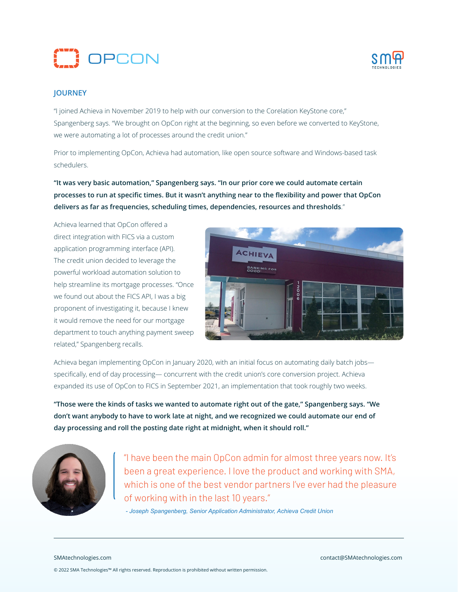



# **JOURNEY**

"I joined Achieva in November 2019 to help with our conversion to the Corelation KeyStone core," Spangenberg says. "We brought on OpCon right at the beginning, so even before we converted to KeyStone, we were automating a lot of processes around the credit union."

Prior to implementing OpCon, Achieva had automation, like open source software and Windows-based task schedulers.

**"It was very basic automation," Spangenberg says. "In our prior core we could automate certain processes to run at specific times. But it wasn't anything near to the flexibility and power that OpCon delivers as far as frequencies, scheduling times, dependencies, resources and thresholds**."

Achieva learned that OpCon offered a direct integration with FICS via a custom application programming interface (API). The credit union decided to leverage the powerful workload automation solution to help streamline its mortgage processes. "Once we found out about the FICS API, I was a big proponent of investigating it, because I knew it would remove the need for our mortgage department to touch anything payment sweep related," Spangenberg recalls.



Achieva began implementing OpCon in January 2020, with an initial focus on automating daily batch jobs specifically, end of day processing— concurrent with the credit union's core conversion project. Achieva expanded its use of OpCon to FICS in September 2021, an implementation that took roughly two weeks.

**"Those were the kinds of tasks we wanted to automate right out of the gate," Spangenberg says. "We don't want anybody to have to work late at night, and we recognized we could automate our end of day processing and roll the posting date right at midnight, when it should roll."**



"I have been the main OpCon admin for almost three years now. It's been a great experience. I love the product and working with SMA, which is one of the best vendor partners I've ever had the pleasure of working with in the last 10 years."

 *- Joseph Spangenberg, Senior Application Administrator, Achieva Credit Union*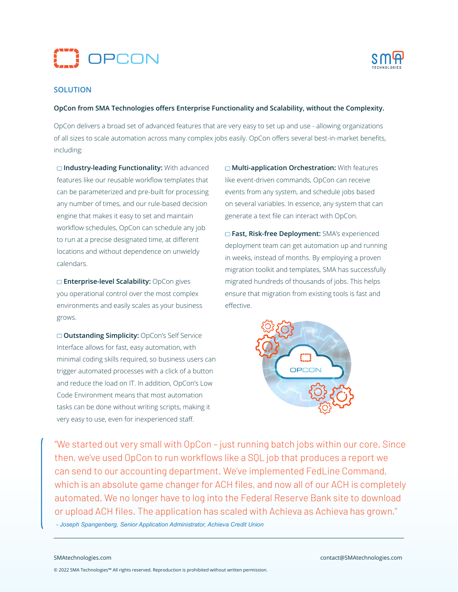



## **SOLUTION**

### **OpCon from SMA Technologies offers Enterprise Functionality and Scalability, without the Complexity.**

OpCon delivers a broad set of advanced features that are very easy to set up and use - allowing organizations of all sizes to scale automation across many complex jobs easily. OpCon offers several best-in-market benefits, including:

**Industry-leading Functionality:** With advanced features like our reusable workflow templates that can be parameterized and pre-built for processing any number of times, and our rule-based decision engine that makes it easy to set and maintain workflow schedules, OpCon can schedule any job to run at a precise designated time, at different locations and without dependence on unwieldy calendars.

**Enterprise-level Scalability:** OpCon gives you operational control over the most complex environments and easily scales as your business grows.

**Outstanding Simplicity:** OpCon's Self Service Interface allows for fast, easy automation, with minimal coding skills required, so business users can trigger automated processes with a click of a button and reduce the load on IT. In addition, OpCon's Low Code Environment means that most automation tasks can be done without writing scripts, making it very easy to use, even for inexperienced staff.

**Multi-application Orchestration:** With features like event-driven commands, OpCon can receive events from any system, and schedule jobs based on several variables. In essence, any system that can generate a text file can interact with OpCon.

**Fast, Risk-free Deployment:** SMA's experienced deployment team can get automation up and running in weeks, instead of months. By employing a proven migration toolkit and templates, SMA has successfully migrated hundreds of thousands of jobs. This helps ensure that migration from existing tools is fast and effective.



"We started out very small with OpCon – just running batch jobs within our core. Since then, we've used OpCon to run workflows like a SQL job that produces a report we can send to our accounting department. We've implemented FedLine Command, which is an absolute game changer for ACH files, and now all of our ACH is completely automated. We no longer have to log into the Federal Reserve Bank site to download or upload ACH files. The application has scaled with Achieva as Achieva has grown."  *- Joseph Spangenberg, Senior Application Administrator, Achieva Credit Union*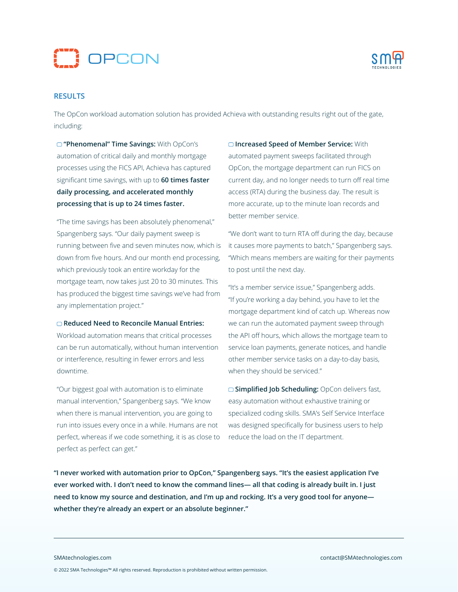



# **RESULTS**

The OpCon workload automation solution has provided Achieva with outstanding results right out of the gate, including:

**"Phenomenal" Time Savings:** With OpCon's automation of critical daily and monthly mortgage processes using the FICS API, Achieva has captured significant time savings, with up to **60 times faster daily processing, and accelerated monthly processing that is up to 24 times faster.**

"The time savings has been absolutely phenomenal," Spangenberg says. "Our daily payment sweep is running between five and seven minutes now, which is down from five hours. And our month end processing, which previously took an entire workday for the mortgage team, now takes just 20 to 30 minutes. This has produced the biggest time savings we've had from any implementation project."

### **Reduced Need to Reconcile Manual Entries:**

Workload automation means that critical processes can be run automatically, without human intervention or interference, resulting in fewer errors and less downtime.

"Our biggest goal with automation is to eliminate manual intervention," Spangenberg says. "We know when there is manual intervention, you are going to run into issues every once in a while. Humans are not perfect, whereas if we code something, it is as close to perfect as perfect can get."

**Increased Speed of Member Service:** With automated payment sweeps facilitated through OpCon, the mortgage department can run FICS on current day, and no longer needs to turn off real time access (RTA) during the business day. The result is more accurate, up to the minute loan records and better member service.

"We don't want to turn RTA off during the day, because it causes more payments to batch," Spangenberg says. "Which means members are waiting for their payments to post until the next day.

"It's a member service issue," Spangenberg adds. "If you're working a day behind, you have to let the mortgage department kind of catch up. Whereas now we can run the automated payment sweep through the API off hours, which allows the mortgage team to service loan payments, generate notices, and handle other member service tasks on a day-to-day basis, when they should be serviced."

**Simplified Job Scheduling:** OpCon delivers fast, easy automation without exhaustive training or specialized coding skills. SMA's Self Service Interface was designed specifically for business users to help reduce the load on the IT department.

**"I never worked with automation prior to OpCon," Spangenberg says. "It's the easiest application I've ever worked with. I don't need to know the command lines— all that coding is already built in. I just need to know my source and destination, and I'm up and rocking. It's a very good tool for anyone whether they're already an expert or an absolute beginner."**

© 2022 SMA Technologies™ All rights reserved. Reproduction is prohibited without written permission.